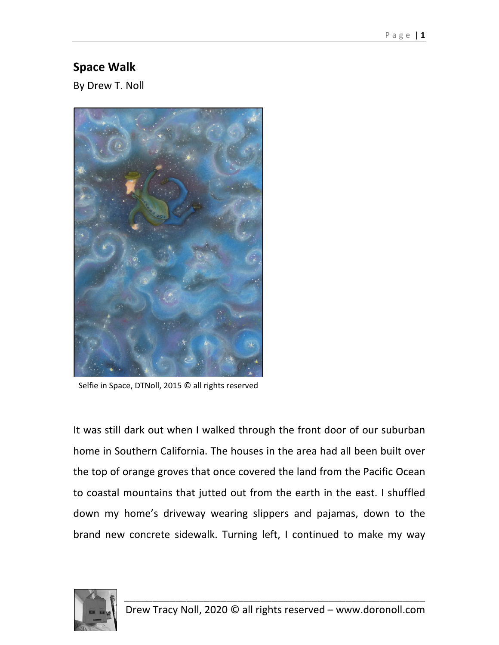## **Space Walk**

By Drew T. Noll



Selfie in Space, DTNoll, 2015 © all rights reserved

It was still dark out when I walked through the front door of our suburban home in Southern California. The houses in the area had all been built over the top of orange groves that once covered the land from the Pacific Ocean to coastal mountains that jutted out from the earth in the east. I shuffled down my home's driveway wearing slippers and pajamas, down to the brand new concrete sidewalk. Turning left, I continued to make my way

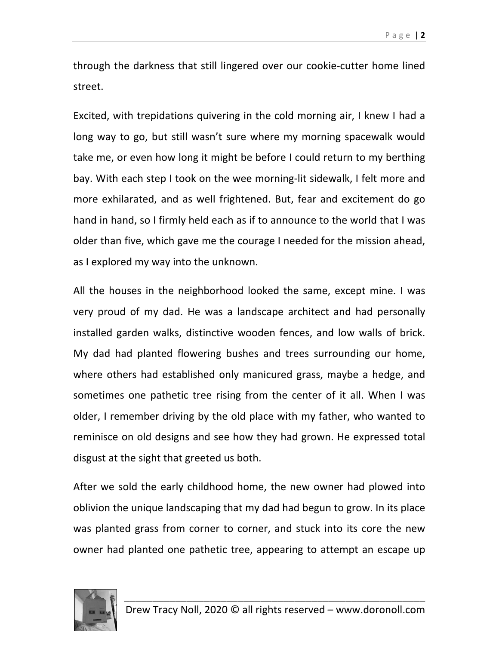through the darkness that still lingered over our cookie‐cutter home lined street.

Excited, with trepidations quivering in the cold morning air, I knew I had a long way to go, but still wasn't sure where my morning spacewalk would take me, or even how long it might be before I could return to my berthing bay. With each step I took on the wee morning‐lit sidewalk, I felt more and more exhilarated, and as well frightened. But, fear and excitement do go hand in hand, so I firmly held each as if to announce to the world that I was older than five, which gave me the courage I needed for the mission ahead, as I explored my way into the unknown.

All the houses in the neighborhood looked the same, except mine. I was very proud of my dad. He was a landscape architect and had personally installed garden walks, distinctive wooden fences, and low walls of brick. My dad had planted flowering bushes and trees surrounding our home, where others had established only manicured grass, maybe a hedge, and sometimes one pathetic tree rising from the center of it all. When I was older, I remember driving by the old place with my father, who wanted to reminisce on old designs and see how they had grown. He expressed total disgust at the sight that greeted us both.

After we sold the early childhood home, the new owner had plowed into oblivion the unique landscaping that my dad had begun to grow. In its place was planted grass from corner to corner, and stuck into its core the new owner had planted one pathetic tree, appearing to attempt an escape up

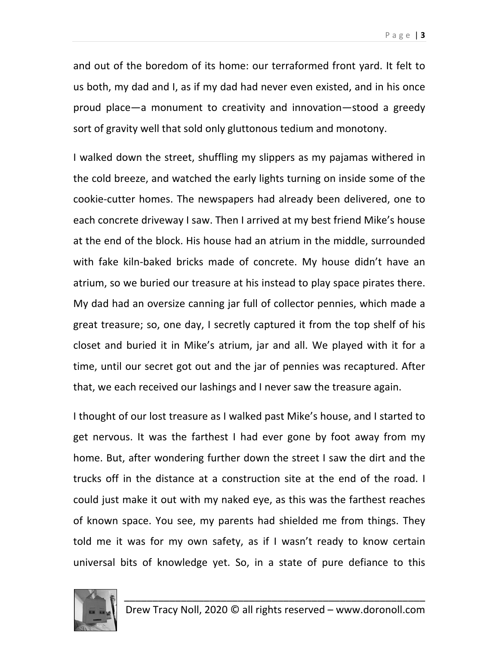and out of the boredom of its home: our terraformed front yard. It felt to us both, my dad and I, as if my dad had never even existed, and in his once proud place—a monument to creativity and innovation—stood a greedy sort of gravity well that sold only gluttonous tedium and monotony.

I walked down the street, shuffling my slippers as my pajamas withered in the cold breeze, and watched the early lights turning on inside some of the cookie‐cutter homes. The newspapers had already been delivered, one to each concrete driveway I saw. Then I arrived at my best friend Mike's house at the end of the block. His house had an atrium in the middle, surrounded with fake kiln‐baked bricks made of concrete. My house didn't have an atrium, so we buried our treasure at his instead to play space pirates there. My dad had an oversize canning jar full of collector pennies, which made a great treasure; so, one day, I secretly captured it from the top shelf of his closet and buried it in Mike's atrium, jar and all. We played with it for a time, until our secret got out and the jar of pennies was recaptured. After that, we each received our lashings and I never saw the treasure again.

I thought of our lost treasure as I walked past Mike's house, and I started to get nervous. It was the farthest I had ever gone by foot away from my home. But, after wondering further down the street I saw the dirt and the trucks off in the distance at a construction site at the end of the road. I could just make it out with my naked eye, as this was the farthest reaches of known space. You see, my parents had shielded me from things. They told me it was for my own safety, as if I wasn't ready to know certain universal bits of knowledge yet. So, in a state of pure defiance to this

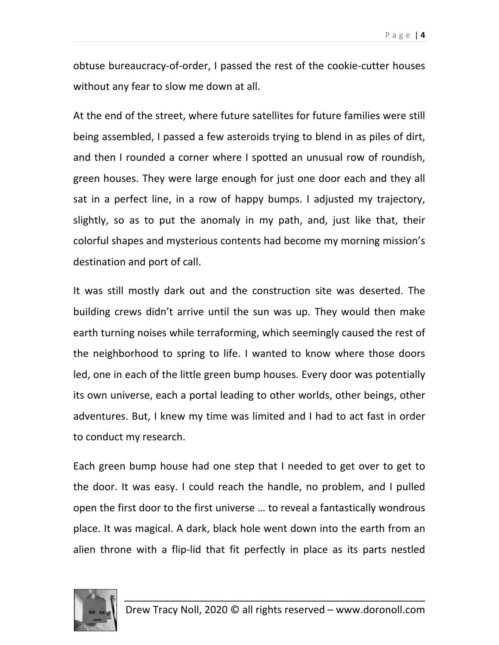obtuse bureaucracy‐of‐order, I passed the rest of the cookie‐cutter houses without any fear to slow me down at all.

At the end of the street, where future satellites for future families were still being assembled, I passed a few asteroids trying to blend in as piles of dirt, and then I rounded a corner where I spotted an unusual row of roundish, green houses. They were large enough for just one door each and they all sat in a perfect line, in a row of happy bumps. I adjusted my trajectory, slightly, so as to put the anomaly in my path, and, just like that, their colorful shapes and mysterious contents had become my morning mission's destination and port of call.

It was still mostly dark out and the construction site was deserted. The building crews didn't arrive until the sun was up. They would then make earth turning noises while terraforming, which seemingly caused the rest of the neighborhood to spring to life. I wanted to know where those doors led, one in each of the little green bump houses. Every door was potentially its own universe, each a portal leading to other worlds, other beings, other adventures. But, I knew my time was limited and I had to act fast in order to conduct my research.

Each green bump house had one step that I needed to get over to get to the door. It was easy. I could reach the handle, no problem, and I pulled open the first door to the first universe … to reveal a fantastically wondrous place. It was magical. A dark, black hole went down into the earth from an alien throne with a flip‐lid that fit perfectly in place as its parts nestled

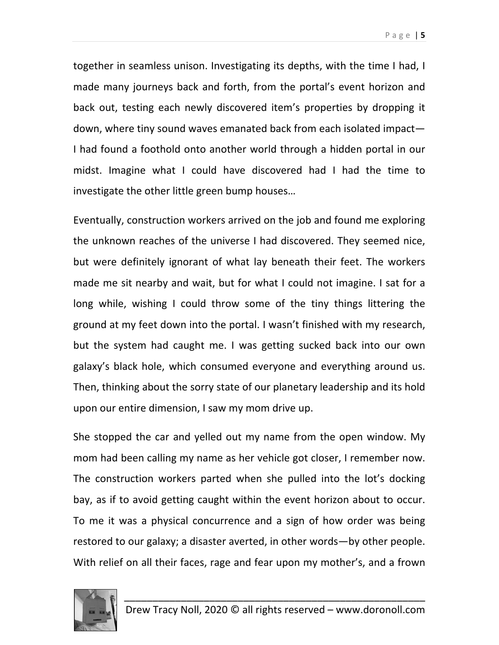together in seamless unison. Investigating its depths, with the time I had, I made many journeys back and forth, from the portal's event horizon and back out, testing each newly discovered item's properties by dropping it down, where tiny sound waves emanated back from each isolated impact— I had found a foothold onto another world through a hidden portal in our midst. Imagine what I could have discovered had I had the time to investigate the other little green bump houses…

Eventually, construction workers arrived on the job and found me exploring the unknown reaches of the universe I had discovered. They seemed nice, but were definitely ignorant of what lay beneath their feet. The workers made me sit nearby and wait, but for what I could not imagine. I sat for a long while, wishing I could throw some of the tiny things littering the ground at my feet down into the portal. I wasn't finished with my research, but the system had caught me. I was getting sucked back into our own galaxy's black hole, which consumed everyone and everything around us. Then, thinking about the sorry state of our planetary leadership and its hold upon our entire dimension, I saw my mom drive up.

She stopped the car and yelled out my name from the open window. My mom had been calling my name as her vehicle got closer, I remember now. The construction workers parted when she pulled into the lot's docking bay, as if to avoid getting caught within the event horizon about to occur. To me it was a physical concurrence and a sign of how order was being restored to our galaxy; a disaster averted, in other words—by other people. With relief on all their faces, rage and fear upon my mother's, and a frown